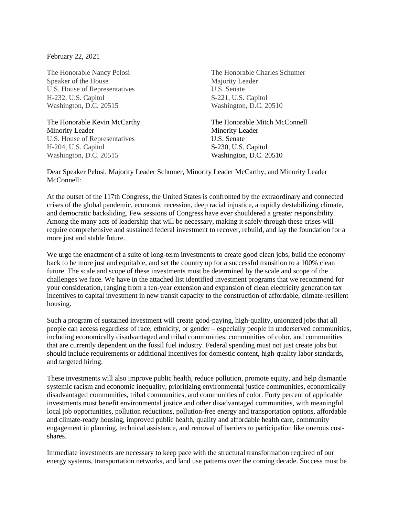February 22, 2021

The Honorable Nancy Pelosi Speaker of the House U.S. House of Representatives H-232, U.S. Capitol Washington, D.C. 20515

The Honorable Kevin McCarthy Minority Leader U.S. House of Representatives H-204, U.S. Capitol Washington, D.C. 20515

The Honorable Charles Schumer Majority Leader U.S. Senate S-221, U.S. Capitol Washington, D.C. 20510

The Honorable Mitch McConnell Minority Leader U.S. Senate S-230, U.S. Capitol Washington, D.C. 20510

Dear Speaker Pelosi, Majority Leader Schumer, Minority Leader McCarthy, and Minority Leader McConnell:

At the outset of the 117th Congress, the United States is confronted by the extraordinary and connected crises of the global pandemic, economic recession, deep racial injustice, a rapidly destabilizing climate, and democratic backsliding. Few sessions of Congress have ever shouldered a greater responsibility. Among the many acts of leadership that will be necessary, making it safely through these crises will require comprehensive and sustained federal investment to recover, rebuild, and lay the foundation for a more just and stable future.

We urge the enactment of a suite of long-term investments to create good clean jobs, build the economy back to be more just and equitable, and set the country up for a successful transition to a 100% clean future. The scale and scope of these investments must be determined by the scale and scope of the challenges we face. We have in the attached list identified investment programs that we recommend for your consideration, ranging from a ten-year extension and expansion of clean electricity generation tax incentives to capital investment in new transit capacity to the construction of affordable, climate-resilient housing.

Such a program of sustained investment will create good-paying, high-quality, unionized jobs that all people can access regardless of race, ethnicity, or gender – especially people in underserved communities, including economically disadvantaged and tribal communities, communities of color, and communities that are currently dependent on the fossil fuel industry. Federal spending must not just create jobs but should include requirements or additional incentives for domestic content, high-quality labor standards, and targeted hiring.

These investments will also improve public health, reduce pollution, promote equity, and help dismantle systemic racism and economic inequality, prioritizing environmental justice communities, economically disadvantaged communities, tribal communities, and communities of color. Forty percent of applicable investments must benefit environmental justice and other disadvantaged communities, with meaningful local job opportunities, pollution reductions, pollution-free energy and transportation options, affordable and climate-ready housing, improved public health, quality and affordable health care, community engagement in planning, technical assistance, and removal of barriers to participation like onerous costshares.

Immediate investments are necessary to keep pace with the structural transformation required of our energy systems, transportation networks, and land use patterns over the coming decade. Success must be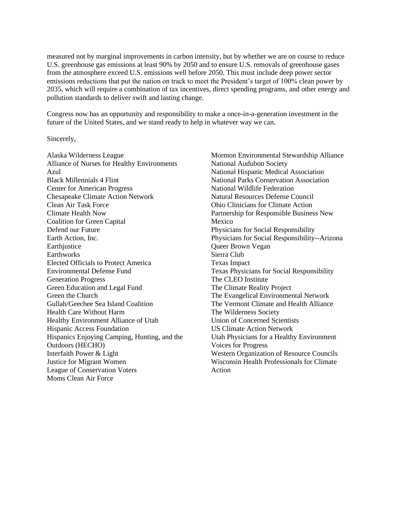measured not by marginal improvements in carbon intensity, but by whether we are on course to reduce U.S. greenhouse gas emissions at least 90% by 2050 and to ensure U.S. removals of greenhouse gases from the atmosphere exceed U.S. emissions well before 2050. This must include deep power sector emissions reductions that put the nation on track to meet the President's target of 100% clean power by 2035, which will require a combination of tax incentives, direct spending programs, and other energy and pollution standards to deliver swift and lasting change.

Congress now has an opportunity and responsibility to make a once-in-a-generation investment in the future of the United States, and we stand ready to help in whatever way we can.

#### Sincerely,

Alaska Wilderness League Alliance of Nurses for Healthy Environments Azul Black Millennials 4 Flint Center for American Progress Chesapeake Climate Action Network Clean Air Task Force Climate Health Now Coalition for Green Capital Defend our Future Earth Action, Inc. **Earthjustice** Earthworks Elected Officials to Protect America Environmental Defense Fund Generation Progress Green Education and Legal Fund Green the Church Gullah/Geechee Sea Island Coalition Health Care Without Harm Healthy Environment Alliance of Utah Hispanic Access Foundation Hispanics Enjoying Camping, Hunting, and the Outdoors (HECHO) Interfaith Power & Light Justice for Migrant Women League of Conservation Voters Moms Clean Air Force

Mormon Environmental Stewardship Alliance National Audubon Society National Hispanic Medical Association National Parks Conservation Association National Wildlife Federation Natural Resources Defense Council Ohio Clinicians for Climate Action Partnership for Responsible Business New Mexico Physicians for Social Responsibility Physicians for Social Responsibility--Arizona Queer Brown Vegan Sierra Club Texas Impact Texas Physicians for Social Responsibility The CLEO Institute The Climate Reality Project The Evangelical Environmental Network The Vermont Climate and Health Alliance The Wilderness Society Union of Concerned Scientists US Climate Action Network Utah Physicians for a Healthy Environment Voices for Progress Western Organization of Resource Councils Wisconsin Health Professionals for Climate Action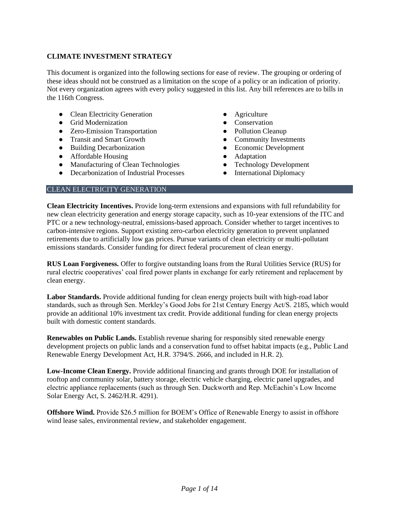# **CLIMATE INVESTMENT STRATEGY**

This document is organized into the following sections for ease of review. The grouping or ordering of these ideas should not be construed as a limitation on the scope of a policy or an indication of priority. Not every organization agrees with every policy suggested in this list. Any bill references are to bills in the 116th Congress.

- Clean Electricity Generation
- Grid Modernization
- Zero-Emission Transportation
- Transit and Smart Growth
- Building Decarbonization
- Affordable Housing
- Manufacturing of Clean Technologies
- Decarbonization of Industrial Processes
- Agriculture
- Conservation
- Pollution Cleanup
- Community Investments
- Economic Development
- Adaptation
- Technology Development
- International Diplomacy

# CLEAN ELECTRICITY GENERATION

**Clean Electricity Incentives.** Provide long-term extensions and expansions with full refundability for new clean electricity generation and energy storage capacity, such as 10-year extensions of the ITC and PTC or a new technology-neutral, emissions-based approach. Consider whether to target incentives to carbon-intensive regions. Support existing zero-carbon electricity generation to prevent unplanned retirements due to artificially low gas prices. Pursue variants of clean electricity or multi-pollutant emissions standards. Consider funding for direct federal procurement of clean energy.

**RUS Loan Forgiveness.** Offer to forgive outstanding loans from the Rural Utilities Service (RUS) for rural electric cooperatives' coal fired power plants in exchange for early retirement and replacement by clean energy.

**Labor Standards.** Provide additional funding for clean energy projects built with high-road labor standards, such as through Sen. Merkley's Good Jobs for 21st Century Energy Act/S. 2185, which would provide an additional 10% investment tax credit. Provide additional funding for clean energy projects built with domestic content standards.

**Renewables on Public Lands.** Establish revenue sharing for responsibly sited renewable energy development projects on public lands and a conservation fund to offset habitat impacts (e.g., Public Land Renewable Energy Development Act, H.R. 3794/S. 2666, and included in H.R. 2).

**Low-Income Clean Energy.** Provide additional financing and grants through DOE for installation of rooftop and community solar, battery storage, electric vehicle charging, electric panel upgrades, and electric appliance replacements (such as through Sen. Duckworth and Rep. McEachin's Low Income Solar Energy Act, S. 2462/H.R. 4291).

**Offshore Wind.** Provide \$26.5 million for BOEM's Office of Renewable Energy to assist in offshore wind lease sales, environmental review, and stakeholder engagement.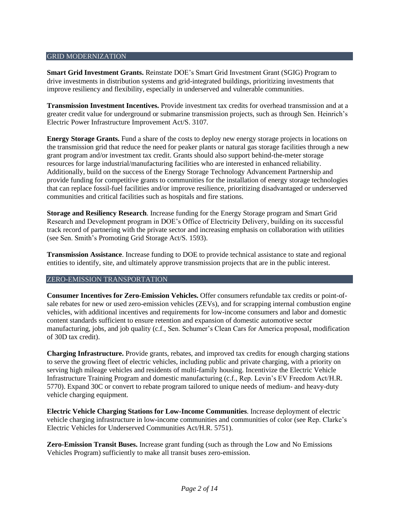#### GRID MODERNIZATION

**Smart Grid Investment Grants.** Reinstate DOE's Smart Grid Investment Grant (SGIG) Program to drive investments in distribution systems and grid-integrated buildings, prioritizing investments that improve resiliency and flexibility, especially in underserved and vulnerable communities.

**Transmission Investment Incentives.** Provide investment tax credits for overhead transmission and at a greater credit value for underground or submarine transmission projects, such as through Sen. Heinrich's Electric Power Infrastructure Improvement Act/S. 3107.

**Energy Storage Grants.** Fund a share of the costs to deploy new energy storage projects in locations on the transmission grid that reduce the need for peaker plants or natural gas storage facilities through a new grant program and/or investment tax credit. Grants should also support behind-the-meter storage resources for large industrial/manufacturing facilities who are interested in enhanced reliability. Additionally, build on the success of the Energy Storage Technology Advancement Partnership and provide funding for competitive grants to communities for the installation of energy storage technologies that can replace fossil-fuel facilities and/or improve resilience, prioritizing disadvantaged or underserved communities and critical facilities such as hospitals and fire stations.

**Storage and Resiliency Research**. Increase funding for the Energy Storage program and Smart Grid Research and Development program in DOE's Office of Electricity Delivery, building on its successful track record of partnering with the private sector and increasing emphasis on collaboration with utilities (see Sen. Smith's Promoting Grid Storage Act/S. 1593).

**Transmission Assistance**. Increase funding to DOE to provide technical assistance to state and regional entities to identify, site, and ultimately approve transmission projects that are in the public interest.

#### ZERO-EMISSION TRANSPORTATION

**Consumer Incentives for Zero-Emission Vehicles.** Offer consumers refundable tax credits or point-ofsale rebates for new or used zero-emission vehicles (ZEVs), and for scrapping internal combustion engine vehicles, with additional incentives and requirements for low-income consumers and labor and domestic content standards sufficient to ensure retention and expansion of domestic automotive sector manufacturing, jobs, and job quality (c.f., Sen. Schumer's Clean Cars for America proposal, modification of 30D tax credit).

**Charging Infrastructure.** Provide grants, rebates, and improved tax credits for enough charging stations to serve the growing fleet of electric vehicles, including public and private charging, with a priority on serving high mileage vehicles and residents of multi-family housing. Incentivize the Electric Vehicle Infrastructure Training Program and domestic manufacturing (c.f., Rep. Levin's EV Freedom Act[/H.R.](https://www.congress.gov/bill/116th-congress/house-bill/5770/text) [5770\)](https://www.congress.gov/bill/116th-congress/house-bill/5770/text). Expand 30C or convert to rebate program tailored to unique needs of medium- and heavy-duty vehicle charging equipment.

**Electric Vehicle Charging Stations for Low-Income Communities**. Increase deployment of electric vehicle charging infrastructure in low-income communities and communities of color (see Rep. Clarke's Electric Vehicles for Underserved Communities Act/H.R. 5751).

**Zero-Emission Transit Buses.** Increase grant funding (such as through the Low and No Emissions Vehicles Program) sufficiently to make all transit buses zero-emission.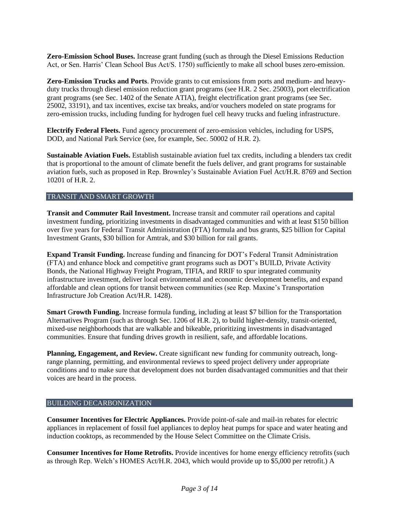**Zero-Emission School Buses.** Increase grant funding (such as through the Diesel Emissions Reduction Act, or Sen. Harris' Clean School Bus Act/S. 1750) sufficiently to make all school buses zero-emission.

**Zero-Emission Trucks and Ports**. Provide grants to cut emissions from ports and medium- and heavyduty trucks through diesel emission reduction grant programs (see H.R. 2 Sec. 25003), port electrification grant programs (see Sec. 1402 of the Senate ATIA), freight electrification grant programs (see Sec. 25002, 33191), and tax incentives, excise tax breaks, and/or vouchers modeled on state programs for zero-emission trucks, including funding for hydrogen fuel cell heavy trucks and fueling infrastructure.

**Electrify Federal Fleets.** Fund agency procurement of zero-emission vehicles, including for USPS, DOD, and National Park Service (see, for example, Sec. 50002 of H.R. 2).

**Sustainable Aviation Fuels.** Establish sustainable aviation fuel tax credits, including a blenders tax credit that is proportional to the amount of climate benefit the fuels deliver, and grant programs for sustainable aviation fuels, such as proposed in Rep. Brownley's Sustainable Aviation Fuel Act/H.R. 8769 and Section 10201 of H.R. 2.

#### TRANSIT AND SMART GROWTH

**Transit and Commuter Rail Investment.** Increase transit and commuter rail operations and capital investment funding, prioritizing investments in disadvantaged communities and with at least \$150 billion over five years for Federal Transit Administration (FTA) formula and bus grants, \$25 billion for Capital Investment Grants, \$30 billion for Amtrak, and \$30 billion for rail grants.

**Expand Transit Funding.** Increase funding and financing for DOT's Federal Transit Administration (FTA) and enhance block and competitive grant programs such as DOT's BUILD, Private Activity Bonds, the National Highway Freight Program, TIFIA, and RRIF to spur integrated community infrastructure investment, deliver local environmental and economic development benefits, and expand affordable and clean options for transit between communities (see Rep. Maxine's Transportation Infrastructure Job Creation Act/H.R. 1428).

**Smart** G**rowth Funding.** Increase formula funding, including at least \$7 billion for the Transportation Alternatives Program (such as through Sec. 1206 of H.R. 2), to build higher-density, transit-oriented, mixed-use neighborhoods that are walkable and bikeable, prioritizing investments in disadvantaged communities. Ensure that funding drives growth in resilient, safe, and affordable locations.

**Planning, Engagement, and Review.** Create significant new funding for community outreach, longrange planning, permitting, and environmental reviews to speed project delivery under appropriate conditions and to make sure that development does not burden disadvantaged communities and that their voices are heard in the process.

#### BUILDING DECARBONIZATION

**Consumer Incentives for Electric Appliances.** Provide point-of-sale and mail-in rebates for electric appliances in replacement of fossil fuel appliances to deploy heat pumps for space and water heating and induction cooktops, as recommended by the House Select Committee on the Climate Crisis.

**Consumer Incentives for Home Retrofits.** Provide incentives for home energy efficiency retrofits (such as through Rep. Welch's HOMES Act/H.R. 2043, which would provide up to \$5,000 per retrofit.) A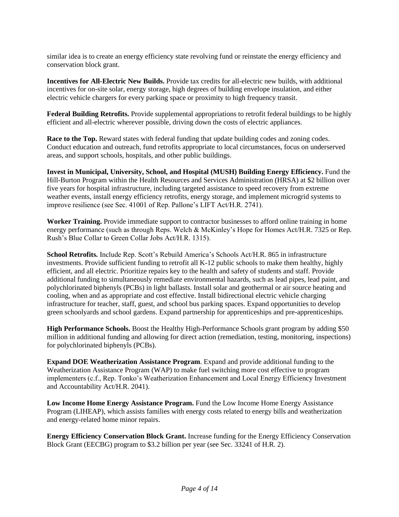similar idea is to create an energy efficiency state revolving fund or reinstate the energy efficiency and conservation block grant.

**Incentives for All-Electric New Builds.** Provide tax credits for all-electric new builds, with additional incentives for on-site solar, energy storage, high degrees of building envelope insulation, and either electric vehicle chargers for every parking space or proximity to high frequency transit.

**Federal Building Retrofits.** Provide supplemental appropriations to retrofit federal buildings to be highly efficient and all-electric wherever possible, driving down the costs of electric appliances.

**Race to the Top.** Reward states with federal funding that update building codes and zoning codes. Conduct education and outreach, fund retrofits appropriate to local circumstances, focus on underserved areas, and support schools, hospitals, and other public buildings.

**Invest in Municipal, University, School, and Hospital (MUSH) Building Energy Efficiency.** Fund the Hill-Burton Program within the Health Resources and Services Administration (HRSA) at \$2 billion over five years for hospital infrastructure, including targeted assistance to speed recovery from extreme weather events, install energy efficiency retrofits, energy storage, and implement microgrid systems to improve resilience (see Sec. 41001 of Rep. Pallone's LIFT Act/H.R. 2741).

**Worker Training.** Provide immediate support to contractor businesses to afford online training in home energy performance (such as through Reps. Welch & McKinley's Hope for Homes Act/H.R. 7325 or Rep. Rush's Blue Collar to Green Collar Jobs Act/H.R. 1315).

**School Retrofits.** Include Rep. Scott's Rebuild America's Schools Act[/H.R. 865](https://www.congress.gov/bill/116th-congress/house-bill/865) in infrastructure investments. Provide sufficient funding to retrofit all K-12 public schools to make them healthy, highly efficient, and all electric. Prioritize repairs key to the health and safety of students and staff. Provide additional funding to simultaneously remediate environmental hazards, such as lead pipes, lead paint, and polychlorinated biphenyls (PCBs) in light ballasts. Install solar and geothermal or air source heating and cooling, when and as appropriate and cost effective. Install bidirectional electric vehicle charging infrastructure for teacher, staff, guest, and school bus parking spaces. Expand opportunities to develop green schoolyards and school gardens. Expand partnership for apprenticeships and pre-apprenticeships.

**High Performance Schools.** Boost the Healthy High-Performance Schools grant program by adding \$50 million in additional funding and allowing for direct action (remediation, testing, monitoring, inspections) for polychlorinated biphenyls (PCBs).

**Expand DOE Weatherization Assistance Program**. Expand and provide additional funding to the Weatherization Assistance Program (WAP) to make fuel switching more cost effective to program implementers (c.f., Rep. Tonko's Weatherization Enhancement and Local Energy Efficiency Investment and Accountability Act[/H.R.](https://www.congress.gov/bill/116th-congress/house-bill/2041/text?q=%7B%22search%22%3A%5B%22weatherization+assistance+program%22%5D%7D&r=4&s=2) 2041).

Low Income Home Energy Assistance Program. Fund the Low Income Home Energy Assistance Program (LIHEAP), which assists families with energy costs related to energy bills and weatherization and energy-related home minor repairs.

**Energy Efficiency Conservation Block Grant.** Increase funding for the Energy Efficiency Conservation Block Grant (EECBG) program to \$3.2 billion per year (see Sec. 33241 of H.R. 2).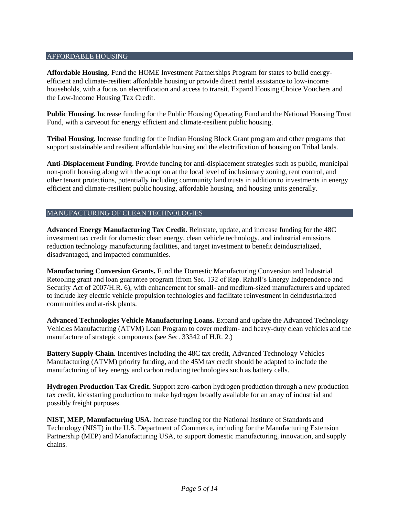#### AFFORDABLE HOUSING

**Affordable Housing.** Fund the HOME Investment Partnerships Program for states to build energyefficient and climate-resilient affordable housing or provide direct rental assistance to low-income households, with a focus on electrification and access to transit. Expand Housing Choice Vouchers and the Low-Income Housing Tax Credit.

**Public Housing.** Increase funding for the Public Housing Operating Fund and the National Housing Trust Fund, with a carveout for energy efficient and climate-resilient public housing.

**Tribal Housing.** Increase funding for the Indian Housing Block Grant program and other programs that support sustainable and resilient affordable housing and the electrification of housing on Tribal lands.

**Anti-Displacement Funding.** Provide funding for anti-displacement strategies such as public, municipal non-profit housing along with the adoption at the local level of inclusionary zoning, rent control, and other tenant protections, potentially including community land trusts in addition to investments in energy efficient and climate-resilient public housing, affordable housing, and housing units generally.

# MANUFACTURING OF CLEAN TECHNOLOGIES

**Advanced Energy Manufacturing Tax Credit**. Reinstate, update, and increase funding for the 48C investment tax credit for domestic clean energy, clean vehicle technology, and industrial emissions reduction technology manufacturing facilities, and target investment to benefit deindustrialized, disadvantaged, and impacted communities.

**Manufacturing Conversion Grants.** Fund the Domestic Manufacturing Conversion and Industrial Retooling grant and loan guarantee program (from Sec. 132 of Rep. Rahall's Energy Independence and Security Act of 2007/H.R. 6), with enhancement for small- and medium-sized manufacturers and updated to include key electric vehicle propulsion technologies and facilitate reinvestment in deindustrialized communities and at-risk plants.

**Advanced Technologies Vehicle Manufacturing Loans.** Expand and update the Advanced Technology Vehicles Manufacturing (ATVM) Loan Program to cover medium- and heavy-duty clean vehicles and the manufacture of strategic components (see Sec. 33342 of H.R. 2.)

**Battery Supply Chain.** Incentives including the 48C tax credit, Advanced Technology Vehicles Manufacturing (ATVM) priority funding, and the 45M tax credit should be adapted to include the manufacturing of key energy and carbon reducing technologies such as battery cells.

**Hydrogen Production Tax Credit.** Support zero-carbon hydrogen production through a new production tax credit, kickstarting production to make hydrogen broadly available for an array of industrial and possibly freight purposes.

**NIST, MEP, Manufacturing USA**. Increase funding for the National Institute of Standards and Technology (NIST) in the U.S. Department of Commerce, including for the Manufacturing Extension Partnership (MEP) and Manufacturing USA, to support domestic manufacturing, innovation, and supply chains.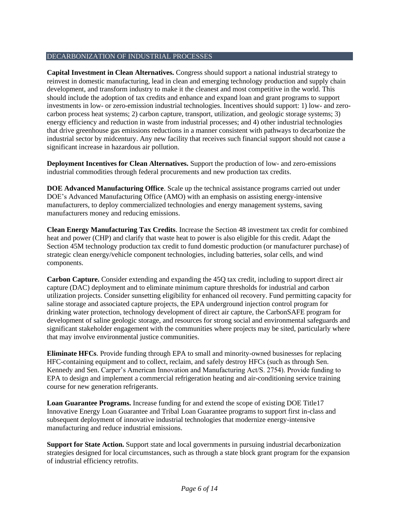# DECARBONIZATION OF INDUSTRIAL PROCESSES

**Capital Investment in Clean Alternatives.** Congress should support a national industrial strategy to reinvest in domestic manufacturing, lead in clean and emerging technology production and supply chain development, and transform industry to make it the cleanest and most competitive in the world. This should include the adoption of tax credits and enhance and expand loan and grant programs to support investments in low- or zero-emission industrial technologies. Incentives should support: 1) low- and zerocarbon process heat systems; 2) carbon capture, transport, utilization, and geologic storage systems; 3) energy efficiency and reduction in waste from industrial processes; and 4) other industrial technologies that drive greenhouse gas emissions reductions in a manner consistent with pathways to decarbonize the industrial sector by midcentury. Any new facility that receives such financial support should not cause a significant increase in hazardous air pollution.

**Deployment Incentives for Clean Alternatives.** Support the production of low- and zero-emissions industrial commodities through federal procurements and new production tax credits.

**DOE Advanced Manufacturing Office**. Scale up the technical assistance programs carried out under DOE's Advanced Manufacturing Office (AMO) with an emphasis on assisting energy-intensive manufacturers, to deploy commercialized technologies and energy management systems, saving manufacturers money and reducing emissions.

**Clean Energy Manufacturing Tax Credits**. Increase the Section 48 investment tax credit for combined heat and power (CHP) and clarify that waste heat to power is also eligible for this credit. Adapt the Section 45M technology production tax credit to fund domestic production (or manufacturer purchase) of strategic clean energy/vehicle component technologies, including batteries, solar cells, and wind components.

**Carbon Capture.** Consider extending and expanding the 45Q tax credit, including to support direct air capture (DAC) deployment and to eliminate minimum capture thresholds for industrial and carbon utilization projects. Consider sunsetting eligibility for enhanced oil recovery. Fund permitting capacity for saline storage and associated capture projects, the EPA underground injection control program for drinking water protection, technology development of direct air capture, the CarbonSAFE program for development of saline geologic storage, and resources for strong social and environmental safeguards and significant stakeholder engagement with the communities where projects may be sited, particularly where that may involve environmental justice communities.

**Eliminate HFCs**. Provide funding through EPA to small and minority-owned businesses for replacing HFC-containing equipment and to collect, reclaim, and safely destroy HFCs (such as through Sen. Kennedy and Sen. Carper's American Innovation and Manufacturing Act/S. 2754). Provide funding to EPA to design and implement a commercial refrigeration heating and air-conditioning service training course for new generation refrigerants.

**Loan Guarantee Programs.** Increase funding for and extend the scope of existing DOE Title17 Innovative Energy Loan Guarantee and Tribal Loan Guarantee programs to support first in-class and subsequent deployment of innovative industrial technologies that modernize energy-intensive manufacturing and reduce industrial emissions.

**Support for State Action.** Support state and local governments in pursuing industrial decarbonization strategies designed for local circumstances, such as through a state block grant program for the expansion of industrial efficiency retrofits.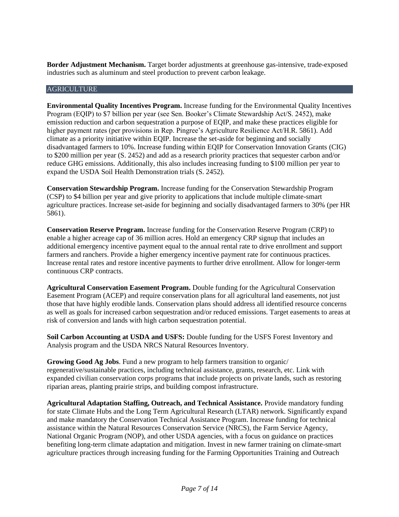**Border Adjustment Mechanism.** Target border adjustments at greenhouse gas-intensive, trade-exposed industries such as aluminum and steel production to prevent carbon leakage.

#### AGRICULTURE

**Environmental Quality Incentives Program.** Increase funding for the Environmental Quality Incentives Program (EQIP) to \$7 billion per year (see Sen. Booker's Climate Stewardship Act/S. 2452), make emission reduction and carbon sequestration a purpose of EQIP, and make these practices eligible for higher payment rates (per provisions in Rep. Pingree's Agriculture Resilience Act[/H.R.](https://www.congress.gov/bill/116th-congress/house-bill/5861) 5861). Add climate as a priority initiative within EQIP. Increase the set-aside for beginning and socially disadvantaged farmers to 10%. Increase funding within EQIP for Conservation Innovation Grants (CIG) to \$200 million per year (S. 2452) and add as a research priority practices that sequester carbon and/or reduce GHG emissions. Additionally, this also includes increasing funding to \$100 million per year to expand the USDA Soil Health Demonstration trials (S. 2452).

**Conservation Stewardship Program.** Increase funding for the Conservation Stewardship Program (CSP) to \$4 billion per year and give priority to applications that include multiple climate-smart agriculture practices. Increase set-aside for beginning and socially disadvantaged farmers to 30% (per HR 5861).

**Conservation Reserve Program.** Increase funding for the Conservation Reserve Program (CRP) to enable a higher acreage cap of 36 million acres. Hold an emergency CRP signup that includes an additional emergency incentive payment equal to the annual rental rate to drive enrollment and support farmers and ranchers. Provide a higher emergency incentive payment rate for continuous practices. Increase rental rates and restore incentive payments to further drive enrollment. Allow for longer-term continuous CRP contracts.

**Agricultural Conservation Easement Program.** Double funding for the Agricultural Conservation Easement Program (ACEP) and require conservation plans for all agricultural land easements, not just those that have highly erodible lands. Conservation plans should address all identified resource concerns as well as goals for increased carbon sequestration and/or reduced emissions. Target easements to areas at risk of conversion and lands with high carbon sequestration potential.

**Soil Carbon Accounting at USDA and USFS:** Double funding for the USFS Forest Inventory and Analysis program and the USDA NRCS Natural Resources Inventory.

**Growing Good Ag Jobs**. Fund a new program to help farmers transition to organic/ regenerative/sustainable practices, including technical assistance, grants, research, etc. Link with expanded civilian conservation corps programs that include projects on private lands, such as restoring riparian areas, planting prairie strips, and building compost infrastructure.

**Agricultural Adaptation Staffing, Outreach, and Technical Assistance.** Provide mandatory funding for state Climate Hubs and the Long Term Agricultural Research (LTAR) network. Significantly expand and make mandatory the Conservation Technical Assistance Program. Increase funding for technical assistance within the Natural Resources Conservation Service (NRCS), the Farm Service Agency, National Organic Program (NOP), and other USDA agencies, with a focus on guidance on practices benefiting long-term climate adaptation and mitigation. Invest in new farmer training on climate-smart agriculture practices through increasing funding for the Farming Opportunities Training and Outreach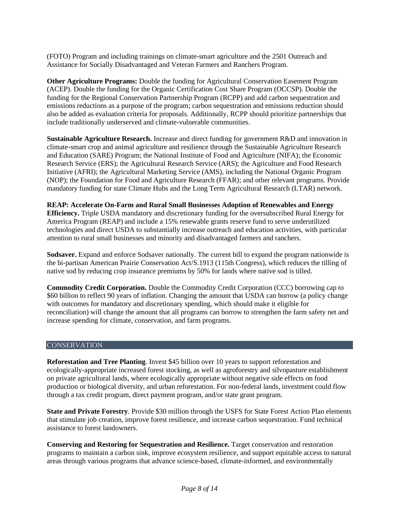(FOTO) Program and including trainings on climate-smart agriculture and the 2501 Outreach and Assistance for Socially Disadvantaged and Veteran Farmers and Ranchers Program.

**Other Agriculture Programs:** Double the funding for Agricultural Conservation Easement Program (ACEP). Double the funding for the Organic Certification Cost Share Program (OCCSP). Double the funding for the Regional Conservation Partnership Program (RCPP) and add carbon sequestration and emissions reductions as a purpose of the program; carbon sequestration and emissions reduction should also be added as evaluation criteria for proposals. Additionally, RCPP should prioritize partnerships that include traditionally underserved and climate-vulnerable communities.

**Sustainable Agriculture Research.** Increase and direct funding for government R&D and innovation in climate-smart crop and animal agriculture and resilience through the Sustainable Agriculture Research and Education (SARE) Program; the National Institute of Food and Agriculture (NIFA); the Economic Research Service (ERS); the Agricultural Research Service (ARS); the Agriculture and Food Research Initiative (AFRI); the Agricultural Marketing Service (AMS), including the National Organic Program (NOP); the Foundation for Food and Agriculture Research (FFAR); and other relevant programs. Provide mandatory funding for state Climate Hubs and the Long Term Agricultural Research (LTAR) network.

**REAP: Accelerate On-Farm and Rural Small Businesses Adoption of Renewables and Energy Efficiency.** Triple USDA mandatory and discretionary funding for the oversubscribed Rural Energy for America Program (REAP) and include a 15% renewable grants reserve fund to serve underutilized technologies and direct USDA to substantially increase outreach and education activities, with particular attention to rural small businesses and minority and disadvantaged farmers and ranchers.

**Sodsaver.** Expand and enforce Sodsaver nationally. The current bill to expand the program nationwide is the bi-partisan [American Prairie Conservation Act/](https://www.congress.gov/bill/115th-congress/senate-bill/1913)S.1913 (115th Congress), which reduces the tilling of native sod by reducing crop insurance premiums by 50% for lands where native sod is tilled.

**Commodity Credit Corporation.** Double the Commodity Credit Corporation (CCC) borrowing cap to \$60 billion to reflect 90 years of inflation. Changing the amount that USDA can borrow (a policy change with outcomes for mandatory and discretionary spending, which should make it eligible for reconciliation) will change the amount that all programs can borrow to strengthen the farm safety net and increase spending for climate, conservation, and farm programs.

# **CONSERVATION**

**Reforestation and Tree Planting**. Invest \$45 billion over 10 years to support reforestation and ecologically-appropriate increased forest stocking, as well as agroforestry and silvopasture establishment on private agricultural lands, where ecologically appropriate without negative side effects on food production or biological diversity, and urban reforestation. For non-federal lands, investment could flow through a tax credit program, direct payment program, and/or state grant program.

**State and Private Forestry**. Provide \$30 million through the USFS for State Forest Action Plan elements that stimulate job creation, improve forest resilience, and increase carbon sequestration. Fund technical assistance to forest landowners.

**Conserving and Restoring for Sequestration and Resilience.** Target conservation and restoration programs to maintain a carbon sink, improve ecosystem resilience, and support equitable access to natural areas through various programs that advance science-based, climate-informed, and environmentally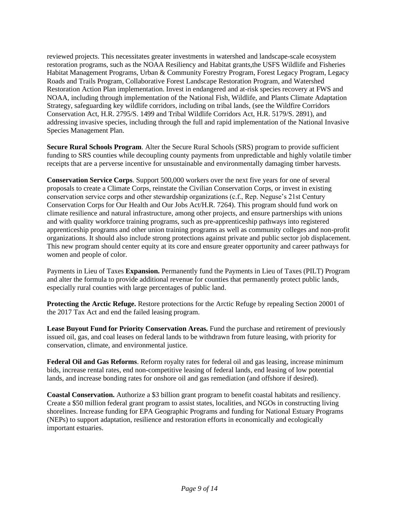reviewed projects. This necessitates greater investments in watershed and landscape-scale ecosystem restoration programs, such as the NOAA Resiliency and Habitat grants,the USFS Wildlife and Fisheries Habitat Management Programs, Urban & Community Forestry Program, Forest Legacy Program, Legacy Roads and Trails Program, Collaborative Forest Landscape Restoration Program, and Watershed Restoration Action Plan implementation. Invest in endangered and at-risk species recovery at FWS and NOAA, including through implementation of the National Fish, Wildlife, and Plants Climate Adaptation Strategy, safeguarding key wildlife corridors, including on tribal lands, (see the Wildfire Corridors Conservation Act, H.R. 2795/S. 1499 and Tribal Wildlife Corridors Act, H.R. 5179/S. 2891), and addressing invasive species, including through the full and rapid implementation of the National Invasive Species Management Plan.

**Secure Rural Schools Program**. Alter the Secure Rural Schools (SRS) program to provide sufficient funding to SRS counties while decoupling county payments from unpredictable and highly volatile timber receipts that are a perverse incentive for unsustainable and environmentally damaging timber harvests.

**Conservation Service Corps**. Support 500,000 workers over the next five years for one of several proposals to create a Climate Corps, reinstate the Civilian Conservation Corps, or invest in existing conservation service corps and other stewardship organizations (c.f., Rep. Neguse's 21st Century Conservation Corps for Our Health and Our Jobs Act/H.R. 7264). This program should fund work on climate resilience and natural infrastructure, among other projects, and ensure partnerships with unions and with quality workforce training programs, such as pre-apprenticeship pathways into registered apprenticeship programs and other union training programs as well as community colleges and non-profit organizations. It should also include strong protections against private and public sector job displacement. This new program should center equity at its core and ensure greater opportunity and career pathways for women and people of color.

Payments in Lieu of Taxes **Expansion.** Permanently fund the Payments in Lieu of Taxes (PILT) Program and alter the formula to provide additional revenue for counties that permanently protect public lands, especially rural counties with large percentages of public land.

**Protecting the Arctic Refuge.** Restore protections for the Arctic Refuge by repealing Section 20001 of the 2017 Tax Act and end the failed leasing program.

**Lease Buyout Fund for Priority Conservation Areas.** Fund the purchase and retirement of previously issued oil, gas, and coal leases on federal lands to be withdrawn from future leasing, with priority for conservation, climate, and environmental justice.

**Federal Oil and Gas Reforms**. Reform royalty rates for federal oil and gas leasing, increase minimum bids, increase rental rates, end non-competitive leasing of federal lands, end leasing of low potential lands, and increase bonding rates for onshore oil and gas remediation (and offshore if desired).

**Coastal Conservation.** Authorize a \$3 billion grant program to benefit coastal habitats and resiliency. Create a \$50 million federal grant program to assist states, localities, and NGOs in constructing living shorelines. Increase funding for EPA Geographic Programs and funding for National Estuary Programs (NEPs) to support adaptation, resilience and restoration efforts in economically and ecologically important estuaries.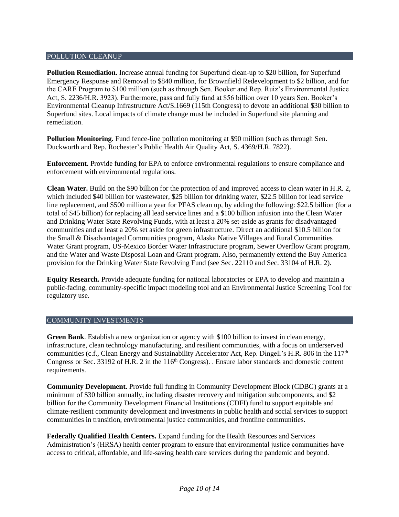#### POLLUTION CLEANUP

**Pollution Remediation.** Increase annual funding for Superfund clean-up to \$20 billion, for Superfund Emergency Response and Removal to \$840 million, for Brownfield Redevelopment to \$2 billion, and for the CARE Program to \$100 million (such as through Sen. Booker and Rep. Ruiz's Environmental Justice Act, S. 2236/H.R. 3923). Furthermore, pass and fully fund at \$56 billion over 10 years Sen. Booker's Environmental Cleanup Infrastructure Act/S.1669 (115th Congress) to devote an additional \$30 billion to Superfund sites. Local impacts of climate change must be included in Superfund site planning and remediation.

**Pollution Monitoring.** Fund fence-line pollution monitoring at \$90 million (such as through Sen. Duckworth and Rep. Rochester's Public Health Air Quality Act, S. [4369](https://www.congress.gov/bill/116th-congress/senate-bill/4369/all-info)[/H.R. 7822\)](https://www.congress.gov/bill/116th-congress/house-bill/7822).

**Enforcement.** Provide funding for EPA to enforce environmental regulations to ensure compliance and enforcement with environmental regulations.

**Clean Water.** Build on the \$90 billion for the protection of and improved access to clean water in H.R. 2, which included \$40 billion for wastewater, \$25 billion for drinking water, \$22.5 billion for lead service line replacement, and \$500 million a year for PFAS clean up, by adding the following: \$22.5 billion (for a total of \$45 billion) for replacing all lead service lines and a \$100 billion infusion into the Clean Water and Drinking Water State Revolving Funds, with at least a 20% set-aside as grants for disadvantaged communities and at least a 20% set aside for green infrastructure. Direct an additional \$10.5 billion for the Small & Disadvantaged Communities program, Alaska Native Villages and Rural Communities Water Grant program, US-Mexico Border Water Infrastructure program, Sewer Overflow Grant program, and the Water and Waste Disposal Loan and Grant program. Also, permanently extend the Buy America provision for the Drinking Water State Revolving Fund (see Sec. 22110 and Sec. 33104 of H.R. 2).

**Equity Research.** Provide adequate funding for national laboratories or EPA to develop and maintain a public-facing, community-specific impact modeling tool and an Environmental Justice Screening Tool for regulatory use.

# COMMUNITY INVESTMENTS

**Green Bank**. Establish a new organization or agency with \$100 billion to invest in clean energy, infrastructure, clean technology manufacturing, and resilient communities, with a focus on underserved communities (c.f., Clean Energy and Sustainability Accelerator Act, Rep. Dingell's H.R. 806 in the  $117<sup>th</sup>$ Congress or Sec. 33192 of H.R. 2 in the 116<sup>th</sup> Congress). . Ensure labor standards and domestic content requirements.

**Community Development.** Provide full funding in Community Development Block (CDBG) grants at a minimum of \$30 billion annually, including disaster recovery and mitigation subcomponents, and \$2 billion for the Community Development Financial Institutions (CDFI) fund to support equitable and climate-resilient community development and investments in public health and social services to support communities in transition, environmental justice communities, and frontline communities.

**Federally Qualified Health Centers.** Expand funding for the Health Resources and Services Administration's (HRSA) health center program to ensure that environmental justice communities have access to critical, affordable, and life-saving health care services during the pandemic and beyond.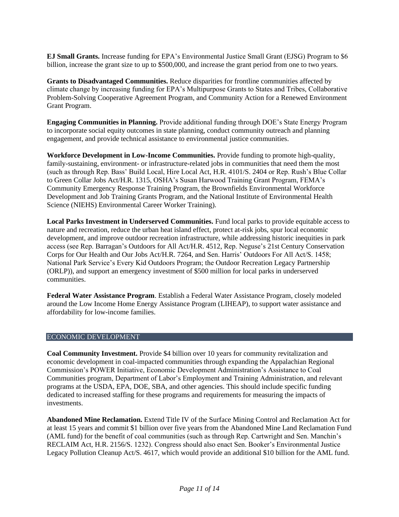**EJ Small Grants.** Increase funding for EPA's Environmental Justice Small Grant (EJSG) Program to \$6 billion, increase the grant size to up to \$500,000, and increase the grant period from one to two years.

**Grants to Disadvantaged Communities.** Reduce disparities for frontline communities affected by climate change by increasing funding for EPA's Multipurpose Grants to States and Tribes, Collaborative Problem-Solving Cooperative Agreement Program, and Community Action for a Renewed Environment Grant Program.

**Engaging Communities in Planning.** Provide additional funding through DOE's State Energy Program to incorporate social equity outcomes in state planning, conduct community outreach and planning engagement, and provide technical assistance to environmental justice communities.

**Workforce Development in Low-Income Communities.** Provide funding to promote high-quality, family-sustaining, environment- or infrastructure-related jobs in communities that need them the most (such as through Rep. Bass' Build Local, Hire Local Act, H.R. 4101/S. 2404 or Rep. Rush's Blue Collar to Green Collar Jobs Act/H.R. 1315, OSHA's Susan Harwood Training Grant Program, FEMA's Community Emergency Response Training Program, the Brownfields Environmental Workforce Development and Job Training Grants Program, and the National Institute of Environmental Health Science (NIEHS) Environmental Career Worker Training).

**Local Parks Investment in Underserved Communities.** Fund local parks to provide equitable access to nature and recreation, reduce the urban heat island effect, protect at-risk jobs, spur local economic development, and improve outdoor recreation infrastructure, while addressing historic inequities in park access (see Rep. Barragan's Outdoors for All Act/H.R. 4512, Rep. Neguse's 21st Century Conservation Corps for Our Health and Our Jobs Act/H.R. 7264, and Sen. Harris' Outdoors For All Act/S. 1458; National Park Service's Every Kid Outdoors Program; the Outdoor Recreation Legacy Partnership (ORLP)), and support an emergency investment of \$500 million for local parks in underserved communities.

**Federal Water Assistance Program**. Establish a Federal Water Assistance Program, closely modeled around the Low Income Home Energy Assistance Program (LIHEAP), to support water assistance and affordability for low-income families.

# ECONOMIC DEVELOPMENT

**Coal Community Investment.** Provide \$4 billion over 10 years for community revitalization and economic development in coal-impacted communities through expanding the Appalachian Regional Commission's POWER Initiative, Economic Development Administration's Assistance to Coal Communities program, Department of Labor's Employment and Training Administration, and relevant programs at the USDA, EPA, DOE, SBA, and other agencies. This should include specific funding dedicated to increased staffing for these programs and requirements for measuring the impacts of investments.

**Abandoned Mine Reclamation.** Extend Title IV of the Surface Mining Control and Reclamation Act for at least 15 years and commit \$1 billion over five years from the Abandoned Mine Land Reclamation Fund (AML fund) for the benefit of coal communities (such as through Rep. Cartwright and Sen. Manchin's RECLAIM Act, H.R. 2156/S. 1232). Congress should also enact Sen. Booker's Environmental Justice Legacy Pollution Cleanup Act/S. 4617, which would provide an additional \$10 billion for the AML fund.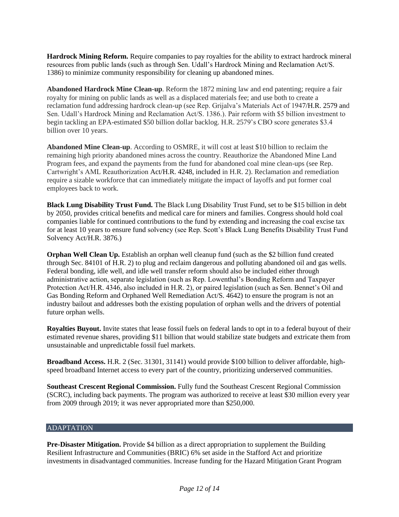**Hardrock Mining Reform.** Require companies to pay royalties for the ability to extract hardrock mineral resources from public lands (such as through Sen. Udall's Hardrock Mining and Reclamation Act/S. 1386) to minimize community responsibility for cleaning up abandoned mines.

**Abandoned Hardrock Mine Clean-up**. Reform the 1872 mining law and end patenting; require a fair royalty for mining on public lands as well as a displaced materials fee; and use both to create a reclamation fund addressing hardrock clean-up (see Rep. Grijalva's Materials Act of 1947/H.R. 2579 and Sen. Udall's Hardrock Mining and Reclamation Act/S. 1386.). Pair reform with \$5 billion investment to begin tackling an EPA-estimated \$50 billion dollar backlog. H.R. 2579's CBO score generates \$3.4 billion over 10 years.

**Abandoned Mine Clean-up**. According to OSMRE, it will cost at least \$10 billion to reclaim the remaining high priority abandoned mines across the country. Reauthorize the Abandoned Mine Land Program fees, and expand the payments from the fund for abandoned coal mine clean-ups (see Rep. Cartwright's AML Reauthorization Act/H.R. 4248, included in H.R. 2). Reclamation and remediation require a sizable workforce that can immediately mitigate the impact of layoffs and put former coal employees back to work.

**Black Lung Disability Trust Fund.** The Black Lung Disability Trust Fund, set to be \$15 billion in debt by 2050, provides critical benefits and medical care for miners and families. Congress should hold coal companies liable for continued contributions to the fund by extending and increasing the coal excise tax for at least 10 years to ensure fund solvency (see Rep. Scott's Black Lung Benefits Disability Trust Fund Solvency Act[/H.R.](https://www.congress.gov/bill/116th-congress/house-bill/3876) 3876.)

**Orphan Well Clean Up.** Establish an orphan well cleanup fund (such as the \$2 billion fund created through Sec. 84101 of H.R. 2) to plug and reclaim dangerous and polluting abandoned oil and gas wells. Federal bonding, idle well, and idle well transfer reform should also be included either through administrative action, separate legislation (such as Rep. Lowenthal's Bonding Reform and Taxpayer Protection Act/H.R. 4346, also included in H.R. 2), or paired legislation (such as Sen. Bennet's Oil and Gas Bonding Reform and Orphaned Well Remediation Act/S. 4642) to ensure the program is not an industry bailout and addresses both the existing population of orphan wells and the drivers of potential future orphan wells.

**Royalties Buyout.** Invite states that lease fossil fuels on federal lands to opt in to a federal buyout of their estimated revenue shares, providing \$11 billion that would stabilize state budgets and extricate them from unsustainable and unpredictable fossil fuel markets.

**Broadband Access.** H.R. 2 (Sec. 31301, 31141) would provide \$100 billion to deliver affordable, highspeed broadband Internet access to every part of the country, prioritizing underserved communities.

**Southeast Crescent Regional Commission.** Fully fund the Southeast Crescent Regional Commission (SCRC), including back payments. The program was authorized to receive at least \$30 million every year from 2009 through 2019; it was never appropriated more than \$250,000.

# ADAPTATION

**Pre-Disaster Mitigation.** Provide \$4 billion as a direct appropriation to supplement the Building Resilient Infrastructure and Communities (BRIC) 6% set aside in the Stafford Act and prioritize investments in disadvantaged communities. Increase funding for the Hazard Mitigation Grant Program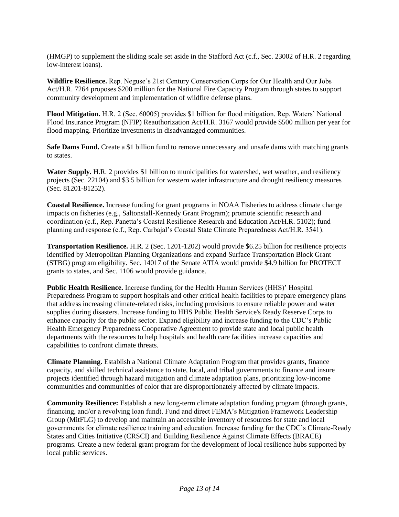(HMGP) to supplement the sliding scale set aside in the Stafford Act (c.f., Sec. 23002 of H.R. 2 regarding low-interest loans).

**Wildfire Resilience.** Rep. Neguse's 21st Century Conservation Corps for Our Health and Our Jobs Act/H.R. 7264 proposes \$200 million for the National Fire Capacity Program through states to support community development and implementation of wildfire defense plans.

**Flood Mitigation.** H.R. 2 (Sec. 60005) provides \$1 billion for flood mitigation. Rep. Waters' National Flood Insurance Program (NFIP) Reauthorization Act/H.R. 3167 would provide \$500 million per year for flood mapping. Prioritize investments in disadvantaged communities.

**Safe Dams Fund.** Create a \$1 billion fund to remove unnecessary and unsafe dams with matching grants to states.

**Water Supply.** H.R. 2 provides \$1 billion to municipalities for watershed, wet weather, and resiliency projects (Sec. 22104) and \$3.5 billion for western water infrastructure and drought resiliency measures (Sec. 81201-81252).

**Coastal Resilience.** Increase funding for grant programs in NOAA Fisheries to address climate change impacts on fisheries (e.g., Saltonstall-Kennedy Grant Program); promote scientific research and coordination (c.f., Rep. Panetta's Coastal Resilience Research and Education Act/H.R. 5102); fund planning and response (c.f., Rep. Carbajal's Coastal State Climate Preparedness Act/H.R. 3541).

**Transportation Resilience.** H.R. 2 (Sec. 1201-1202) would provide \$6.25 billion for resilience projects identified by Metropolitan Planning Organizations and expand Surface Transportation Block Grant (STBG) program eligibility. Sec. 14017 of the Senate ATIA would provide \$4.9 billion for PROTECT grants to states, and Sec. 1106 would provide guidance.

**Public Health Resilience.** Increase funding for the Health Human Services (HHS)' Hospital Preparedness Program to support hospitals and other critical health facilities to prepare emergency plans that address increasing climate-related risks, including provisions to ensure reliable power and water supplies during disasters. Increase funding to HHS Public Health Service's Ready Reserve Corps to enhance capacity for the public sector. Expand eligibility and increase funding to the CDC's Public Health Emergency Preparedness Cooperative Agreement to provide state and local public health departments with the resources to help hospitals and health care facilities increase capacities and capabilities to confront climate threats.

**Climate Planning.** Establish a National Climate Adaptation Program that provides grants, finance capacity, and skilled technical assistance to state, local, and tribal governments to finance and insure projects identified through hazard mitigation and climate adaptation plans, prioritizing low-income communities and communities of color that are disproportionately affected by climate impacts.

**Community Resilience:** Establish a new long-term climate adaptation funding program (through grants, financing, and/or a revolving loan fund). Fund and direct FEMA's Mitigation Framework Leadership Group (MitFLG) to develop and maintain an accessible inventory of resources for state and local governments for climate resilience training and education. Increase funding for the CDC's Climate-Ready States and Cities Initiative (CRSCI) and Building Resilience Against Climate Effects (BRACE) programs. Create a new federal grant program for the development of local resilience hubs supported by local public services.